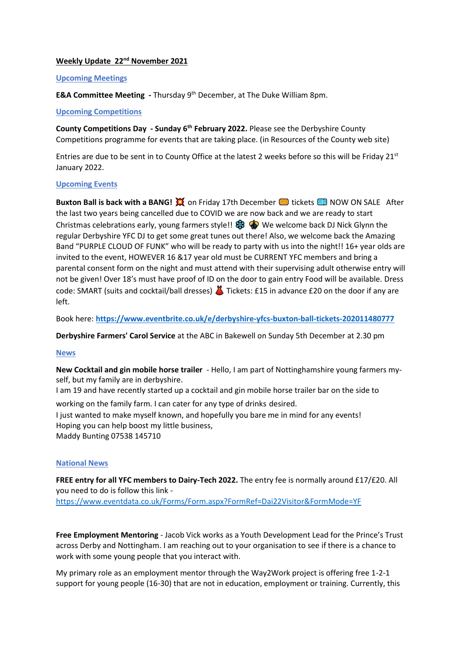### **Weekly Update 22nd November 2021**

#### **Upcoming Meetings**

**E&A Committee Meeting -** Thursday 9th December, at The Duke William 8pm.

#### **Upcoming Competitions**

**County Competitions Day - Sunday 6th February 2022.** Please see the Derbyshire County Competitions programme for events that are taking place. (in Resources of the County web site)

Entries are due to be sent in to County Office at the latest 2 weeks before so this will be Friday 21st January 2022.

## **Upcoming Events**

**Buxton Ball is back with a BANG!**  $\mathbb{X}$  on Friday 17th December **I** tickets **E** NOW ON SALE After the last two years being cancelled due to COVID we are now back and we are ready to start Christmas celebrations early, young farmers style!!  $\circledast \circledast$  We welcome back DJ Nick Glynn the regular Derbyshire YFC DJ to get some great tunes out there! Also, we welcome back the Amazing Band "PURPLE CLOUD OF FUNK" who will be ready to party with us into the night!! 16+ year olds are invited to the event, HOWEVER 16 &17 year old must be CURRENT YFC members and bring a parental consent form on the night and must attend with their supervising adult otherwise entry will not be given! Over 18's must have proof of ID on the door to gain entry Food will be available. Dress code: SMART (suits and cocktail/ball dresses) **T** Tickets: £15 in advance £20 on the door if any are left.

Book here: **<https://www.eventbrite.co.uk/e/derbyshire-yfcs-buxton-ball-tickets-202011480777>**

**Derbyshire Farmers' Carol Service** at the ABC in Bakewell on Sunday 5th December at 2.30 pm

## **News**

**New Cocktail and gin mobile horse trailer** - Hello, I am part of Nottinghamshire young farmers myself, but my family are in derbyshire.

I am 19 and have recently started up a cocktail and gin mobile horse trailer bar on the side to

working on the family farm. I can cater for any type of drinks desired.

I just wanted to make myself known, and hopefully you bare me in mind for any events! Hoping you can help boost my little business, Maddy Bunting 07538 145710

#### **National News**

**FREE entry for all YFC members to Dairy-Tech 2022.** The entry fee is normally around £17/£20. All you need to do is follow this link <https://www.eventdata.co.uk/Forms/Form.aspx?FormRef=Dai22Visitor&FormMode=YF>

**Free Employment Mentoring** - Jacob Vick works as a Youth Development Lead for the Prince's Trust across Derby and Nottingham. I am reaching out to your organisation to see if there is a chance to work with some young people that you interact with.

My primary role as an employment mentor through the Way2Work project is offering free 1-2-1 support for young people (16-30) that are not in education, employment or training. Currently, this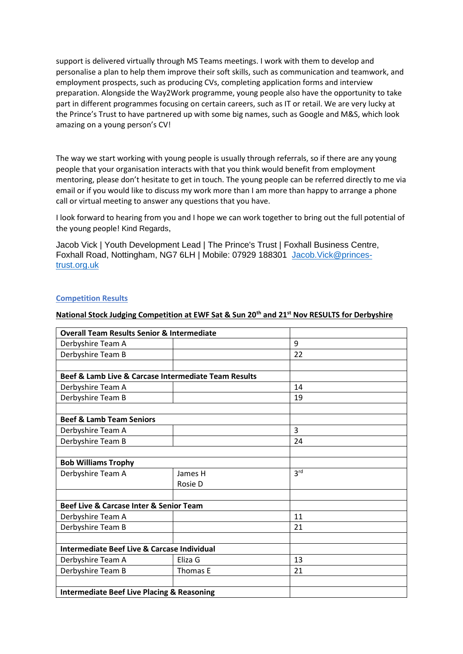support is delivered virtually through MS Teams meetings. I work with them to develop and personalise a plan to help them improve their soft skills, such as communication and teamwork, and employment prospects, such as producing CVs, completing application forms and interview preparation. Alongside the Way2Work programme, young people also have the opportunity to take part in different programmes focusing on certain careers, such as IT or retail. We are very lucky at the Prince's Trust to have partnered up with some big names, such as Google and M&S, which look amazing on a young person's CV!

The way we start working with young people is usually through referrals, so if there are any young people that your organisation interacts with that you think would benefit from employment mentoring, please don't hesitate to get in touch. The young people can be referred directly to me via email or if you would like to discuss my work more than I am more than happy to arrange a phone call or virtual meeting to answer any questions that you have.

I look forward to hearing from you and I hope we can work together to bring out the full potential of the young people! Kind Regards,

Jacob Vick | Youth Development Lead | The Prince's Trust | Foxhall Business Centre, Foxhall Road, Nottingham, NG7 6LH | Mobile: 07929 188301 [Jacob.Vick@princes](mailto:Jacob.Vick@princes-trust.org.uk)[trust.org.uk](mailto:Jacob.Vick@princes-trust.org.uk) 

## **Competition Results**

## **National Stock Judging Competition at EWF Sat & Sun 20th and 21st Nov RESULTS for Derbyshire**

| <b>Overall Team Results Senior &amp; Intermediate</b> |          |                 |
|-------------------------------------------------------|----------|-----------------|
| Derbyshire Team A                                     |          | 9               |
| Derbyshire Team B                                     |          | 22              |
|                                                       |          |                 |
| Beef & Lamb Live & Carcase Intermediate Team Results  |          |                 |
| Derbyshire Team A                                     |          | 14              |
| Derbyshire Team B                                     |          | 19              |
|                                                       |          |                 |
| <b>Beef &amp; Lamb Team Seniors</b>                   |          |                 |
| Derbyshire Team A                                     |          | 3               |
| Derbyshire Team B                                     |          | 24              |
|                                                       |          |                 |
| <b>Bob Williams Trophy</b>                            |          |                 |
| Derbyshire Team A                                     | James H  | 3 <sup>rd</sup> |
|                                                       | Rosie D  |                 |
|                                                       |          |                 |
| Beef Live & Carcase Inter & Senior Team               |          |                 |
| Derbyshire Team A                                     |          | 11              |
| Derbyshire Team B                                     |          | 21              |
|                                                       |          |                 |
| Intermediate Beef Live & Carcase Individual           |          |                 |
| Derbyshire Team A                                     | Eliza G  | 13              |
| Derbyshire Team B                                     | Thomas E | 21              |
|                                                       |          |                 |
| <b>Intermediate Beef Live Placing &amp; Reasoning</b> |          |                 |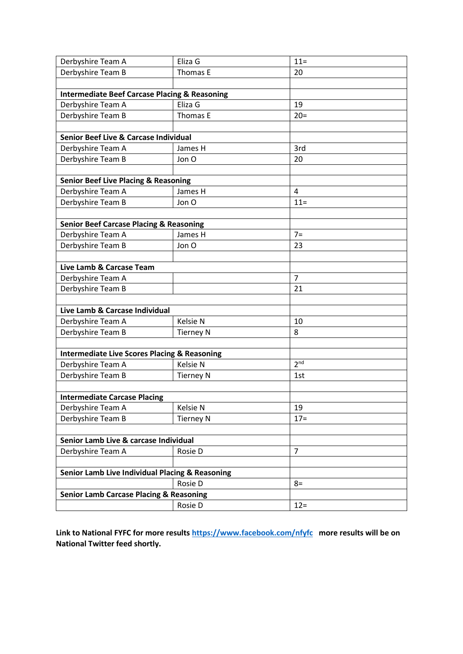| Derbyshire Team A                                        | Eliza G          | $11 =$          |  |
|----------------------------------------------------------|------------------|-----------------|--|
| Derbyshire Team B                                        | Thomas E         | 20              |  |
|                                                          |                  |                 |  |
| <b>Intermediate Beef Carcase Placing &amp; Reasoning</b> |                  |                 |  |
| Derbyshire Team A                                        | Eliza G          | 19              |  |
| Derbyshire Team B                                        | Thomas E         | $20=$           |  |
|                                                          |                  |                 |  |
| <b>Senior Beef Live &amp; Carcase Individual</b>         |                  |                 |  |
| Derbyshire Team A                                        | James H          | 3rd             |  |
| Derbyshire Team B                                        | Jon O            | 20              |  |
|                                                          |                  |                 |  |
| <b>Senior Beef Live Placing &amp; Reasoning</b>          |                  |                 |  |
| Derbyshire Team A                                        | James H          | 4               |  |
| Derbyshire Team B                                        | Jon O            | $11 =$          |  |
|                                                          |                  |                 |  |
| <b>Senior Beef Carcase Placing &amp; Reasoning</b>       |                  |                 |  |
| Derbyshire Team A                                        | James H          | $7=$            |  |
| Derbyshire Team B                                        | Jon O            | 23              |  |
|                                                          |                  |                 |  |
| Live Lamb & Carcase Team                                 |                  |                 |  |
| Derbyshire Team A                                        |                  | $\overline{7}$  |  |
| Derbyshire Team B                                        |                  | 21              |  |
|                                                          |                  |                 |  |
| Live Lamb & Carcase Individual                           |                  |                 |  |
| Derbyshire Team A                                        | <b>Kelsie N</b>  | 10              |  |
| Derbyshire Team B                                        | <b>Tierney N</b> | 8               |  |
|                                                          |                  |                 |  |
| <b>Intermediate Live Scores Placing &amp; Reasoning</b>  |                  |                 |  |
| Derbyshire Team A                                        | Kelsie N         | 2 <sup>nd</sup> |  |
| Derbyshire Team B                                        | <b>Tierney N</b> | 1st             |  |
|                                                          |                  |                 |  |
| <b>Intermediate Carcase Placing</b>                      |                  |                 |  |
| Derbyshire Team A                                        | Kelsie N         | 19              |  |
| Derbyshire Team B                                        | <b>Tierney N</b> | $17 =$          |  |
|                                                          |                  |                 |  |
| Senior Lamb Live & carcase Individual                    |                  |                 |  |
| Derbyshire Team A                                        | Rosie D          | $\overline{7}$  |  |
|                                                          |                  |                 |  |
| Senior Lamb Live Individual Placing & Reasoning          |                  |                 |  |
|                                                          | Rosie D          | $8=$            |  |
| <b>Senior Lamb Carcase Placing &amp; Reasoning</b>       |                  |                 |  |
|                                                          | Rosie D          | $12 =$          |  |

**Link to National FYFC for more result[s https://www.facebook.com/nfyfc](https://www.facebook.com/nfyfc) more results will be on National Twitter feed shortly.**